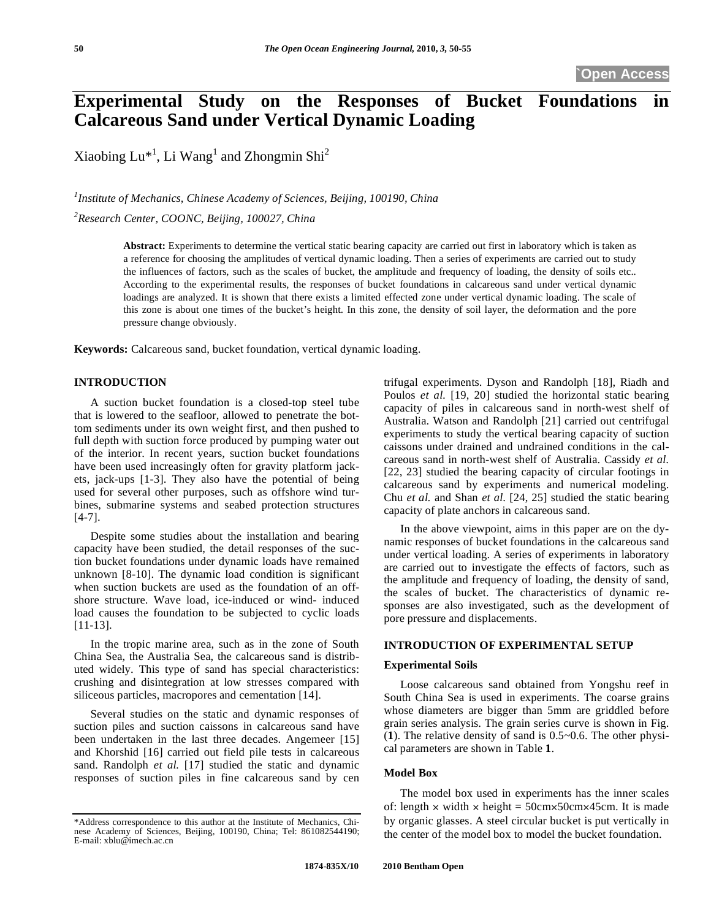# **Experimental Study on the Responses of Bucket Foundations Calcareous Sand under Vertical Dynamic Loading**

Xiaobing  $Lu^{*1}$ , Li Wang<sup>1</sup> and Zhongmin Shi<sup>2</sup>

<sup>1</sup> Institute of Mechanics, Chinese Academy of Sciences, Beijing, 100190, China *2 Research Center, COONC, Beijing, 100027, China* 

> **Abstract:** Experiments to determine the vertical static bearing capacity are carried out first in laboratory which is taken as a reference for choosing the amplitudes of vertical dynamic loading. Then a series of experiments are carried out to study the influences of factors, such as the scales of bucket, the amplitude and frequency of loading, the density of soils etc.. According to the experimental results, the responses of bucket foundations in calcareous sand under vertical dynamic loadings are analyzed. It is shown that there exists a limited effected zone under vertical dynamic loading. The scale of this zone is about one times of the bucket's height. In this zone, the density of soil layer, the deformation and the pore pressure change obviously.

**Keywords:** Calcareous sand, bucket foundation, vertical dynamic loading.

## **INTRODUCTION**

A suction bucket foundation is a closed-top steel tube that is lowered to the seafloor, allowed to penetrate the bottom sediments under its own weight first, and then pushed to full depth with suction force produced by pumping water out of the interior. In recent years, suction bucket foundations have been used increasingly often for gravity platform jackets, jack-ups [1-3]. They also have the potential of being used for several other purposes, such as offshore wind turbines, submarine systems and seabed protection structures [4-7].

Despite some studies about the installation and bearing capacity have been studied, the detail responses of the suction bucket foundations under dynamic loads have remained unknown [8-10]. The dynamic load condition is significant when suction buckets are used as the foundation of an offshore structure. Wave load, ice-induced or wind- induced load causes the foundation to be subjected to cyclic loads [11-13].

In the tropic marine area, such as in the zone of South China Sea, the Australia Sea, the calcareous sand is distributed widely. This type of sand has special characteristics: crushing and disintegration at low stresses compared with siliceous particles, macropores and cementation [14].

Several studies on the static and dynamic responses of suction piles and suction caissons in calcareous sand have been undertaken in the last three decades. Angemeer [15] and Khorshid [16] carried out field pile tests in calcareous sand. Randolph *et al.* [17] studied the static and dynamic responses of suction piles in fine calcareous sand by cen

trifugal experiments. Dyson and Randolph [18], Riadh and Poulos *et al.* [19, 20] studied the horizontal static bearing capacity of piles in calcareous sand in north-west shelf of Australia. Watson and Randolph [21] carried out centrifugal experiments to study the vertical bearing capacity of suction caissons under drained and undrained conditions in the calcareous sand in north-west shelf of Australia. Cassidy *et al.* [22, 23] studied the bearing capacity of circular footings in calcareous sand by experiments and numerical modeling. Chu *et al.* and Shan *et al*. [24, 25] studied the static bearing capacity of plate anchors in calcareous sand.

In the above viewpoint, aims in this paper are on the dynamic responses of bucket foundations in the calcareous sand under vertical loading. A series of experiments in laboratory are carried out to investigate the effects of factors, such as the amplitude and frequency of loading, the density of sand, the scales of bucket. The characteristics of dynamic responses are also investigated, such as the development of pore pressure and displacements.

## **INTRODUCTION OF EXPERIMENTAL SETUP**

## **Experimental Soils**

Loose calcareous sand obtained from Yongshu reef in South China Sea is used in experiments. The coarse grains whose diameters are bigger than 5mm are griddled before grain series analysis. The grain series curve is shown in Fig. (**1**). The relative density of sand is 0.5~0.6. The other physical parameters are shown in Table **1**.

## **Model Box**

The model box used in experiments has the inner scales of: length  $\times$  width  $\times$  height = 50cm $\times$ 50cm $\times$ 45cm. It is made by organic glasses. A steel circular bucket is put vertically in the center of the model box to model the bucket foundation.

<sup>\*</sup>Address correspondence to this author at the Institute of Mechanics, Chinese Academy of Sciences, Beijing, 100190, China; Tel: 861082544190; E-mail: xblu@imech.ac.cn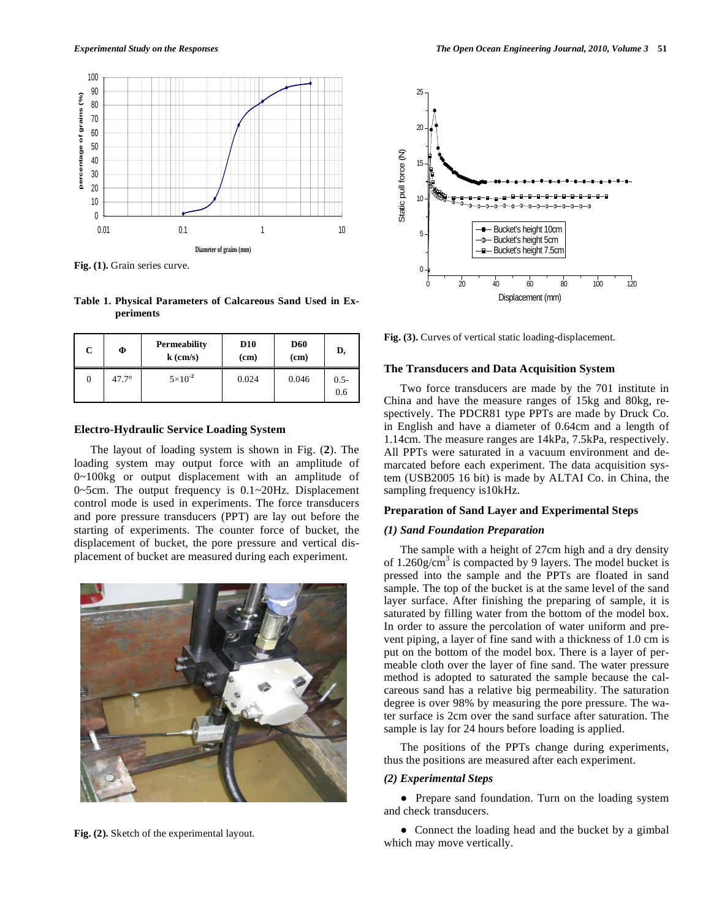

**Fig. (1).** Grain series curve.

**Table 1. Physical Parameters of Calcareous Sand Used in Experiments** 

| C | Ф            | <b>Permeability</b><br>$k$ (cm/s) | <b>D10</b><br>(cm) | <b>D60</b><br>(cm) | $\mathbf{D}_{\rm r}$ |
|---|--------------|-----------------------------------|--------------------|--------------------|----------------------|
| 0 | $47.7^\circ$ | $5 \times 10^{-2}$                | 0.024              | 0.046              | $0.5 -$<br>0.6       |

## **Electro-Hydraulic Service Loading System**

The layout of loading system is shown in Fig. (**2**). The loading system may output force with an amplitude of 0~100kg or output displacement with an amplitude of 0~5cm. The output frequency is 0.1~20Hz. Displacement control mode is used in experiments. The force transducers and pore pressure transducers (PPT) are lay out before the starting of experiments. The counter force of bucket, the displacement of bucket, the pore pressure and vertical displacement of bucket are measured during each experiment.



**Fig. (2).** Sketch of the experimental layout.



**Fig. (3).** Curves of vertical static loading-displacement.

## **The Transducers and Data Acquisition System**

Two force transducers are made by the 701 institute in China and have the measure ranges of 15kg and 80kg, respectively. The PDCR81 type PPTs are made by Druck Co. in English and have a diameter of 0.64cm and a length of 1.14cm. The measure ranges are 14kPa, 7.5kPa, respectively. All PPTs were saturated in a vacuum environment and demarcated before each experiment. The data acquisition system (USB2005 16 bit) is made by ALTAI Co. in China, the sampling frequency is10kHz.

#### **Preparation of Sand Layer and Experimental Steps**

## *(1) Sand Foundation Preparation*

The sample with a height of 27cm high and a dry density of  $1.260$ g/cm<sup>3</sup> is compacted by 9 layers. The model bucket is pressed into the sample and the PPTs are floated in sand sample. The top of the bucket is at the same level of the sand layer surface. After finishing the preparing of sample, it is saturated by filling water from the bottom of the model box. In order to assure the percolation of water uniform and prevent piping, a layer of fine sand with a thickness of 1.0 cm is put on the bottom of the model box. There is a layer of permeable cloth over the layer of fine sand. The water pressure method is adopted to saturated the sample because the calcareous sand has a relative big permeability. The saturation degree is over 98% by measuring the pore pressure. The water surface is 2cm over the sand surface after saturation. The sample is lay for 24 hours before loading is applied.

The positions of the PPTs change during experiments, thus the positions are measured after each experiment.

## *(2) Experimental Steps*

• Prepare sand foundation. Turn on the loading system and check transducers.

• Connect the loading head and the bucket by a gimbal which may move vertically.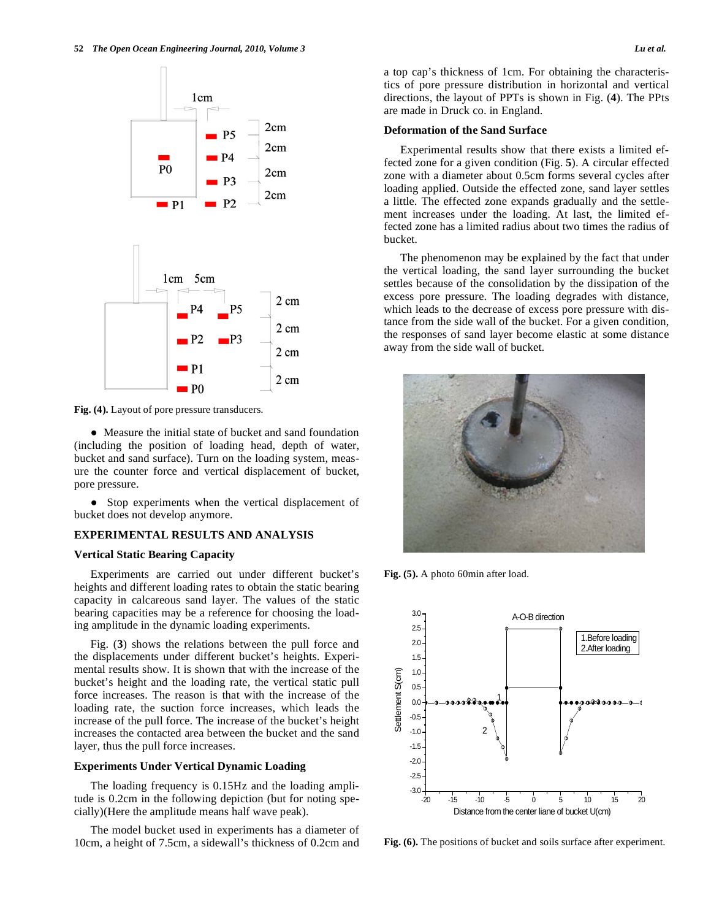

**Fig. (4).** Layout of pore pressure transducers.

 Measure the initial state of bucket and sand foundation (including the position of loading head, depth of water, bucket and sand surface). Turn on the loading system, measure the counter force and vertical displacement of bucket, pore pressure.

• Stop experiments when the vertical displacement of bucket does not develop anymore.

#### **EXPERIMENTAL RESULTS AND ANALYSIS**

## **Vertical Static Bearing Capacity**

Experiments are carried out under different bucket's heights and different loading rates to obtain the static bearing capacity in calcareous sand layer. The values of the static bearing capacities may be a reference for choosing the loading amplitude in the dynamic loading experiments.

Fig. (**3**) shows the relations between the pull force and the displacements under different bucket's heights. Experimental results show. It is shown that with the increase of the bucket's height and the loading rate, the vertical static pull force increases. The reason is that with the increase of the loading rate, the suction force increases, which leads the increase of the pull force. The increase of the bucket's height increases the contacted area between the bucket and the sand layer, thus the pull force increases.

#### **Experiments Under Vertical Dynamic Loading**

The loading frequency is 0.15Hz and the loading amplitude is 0.2cm in the following depiction (but for noting specially)(Here the amplitude means half wave peak).

The model bucket used in experiments has a diameter of 10cm, a height of 7.5cm, a sidewall's thickness of 0.2cm and a top cap's thickness of 1cm. For obtaining the characteristics of pore pressure distribution in horizontal and vertical directions, the layout of PPTs is shown in Fig. (**4**). The PPts are made in Druck co. in England.

#### **Deformation of the Sand Surface**

Experimental results show that there exists a limited effected zone for a given condition (Fig. **5**). A circular effected zone with a diameter about 0.5cm forms several cycles after loading applied. Outside the effected zone, sand layer settles a little. The effected zone expands gradually and the settlement increases under the loading. At last, the limited effected zone has a limited radius about two times the radius of bucket.

The phenomenon may be explained by the fact that under the vertical loading, the sand layer surrounding the bucket settles because of the consolidation by the dissipation of the excess pore pressure. The loading degrades with distance, which leads to the decrease of excess pore pressure with distance from the side wall of the bucket. For a given condition, the responses of sand layer become elastic at some distance away from the side wall of bucket.



**Fig. (5).** A photo 60min after load.



**Fig. (6).** The positions of bucket and soils surface after experiment.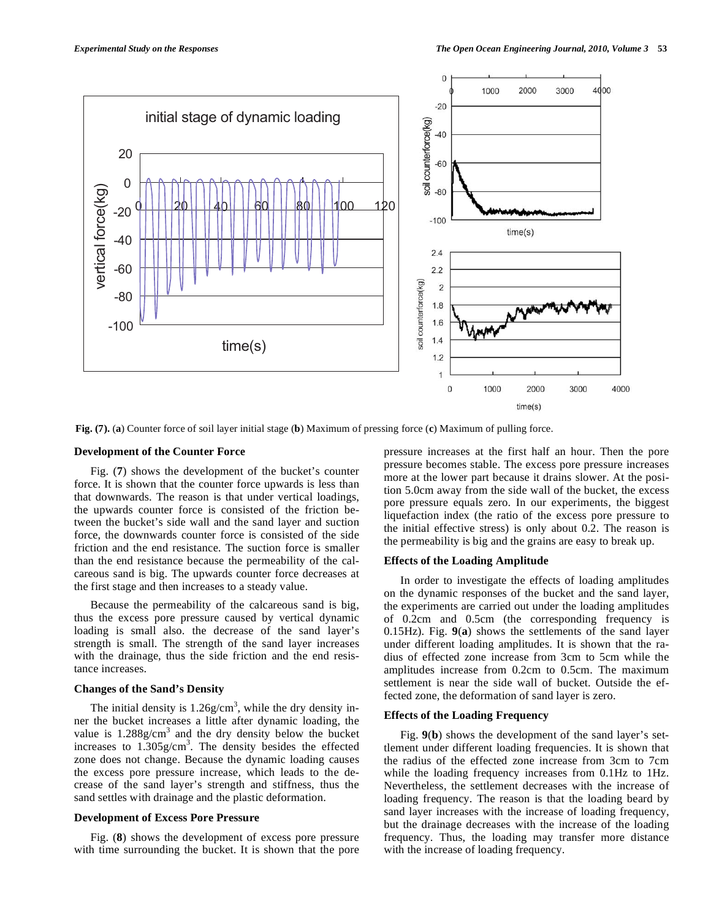

**Fig. (7).** (**a**) Counter force of soil layer initial stage (**b**) Maximum of pressing force (**c**) Maximum of pulling force.

#### **Development of the Counter Force**

Fig. (**7**) shows the development of the bucket's counter force. It is shown that the counter force upwards is less than that downwards. The reason is that under vertical loadings, the upwards counter force is consisted of the friction between the bucket's side wall and the sand layer and suction force, the downwards counter force is consisted of the side friction and the end resistance. The suction force is smaller than the end resistance because the permeability of the calcareous sand is big. The upwards counter force decreases at the first stage and then increases to a steady value.

Because the permeability of the calcareous sand is big, thus the excess pore pressure caused by vertical dynamic loading is small also. the decrease of the sand layer's strength is small. The strength of the sand layer increases with the drainage, thus the side friction and the end resistance increases.

## **Changes of the Sand's Density**

The initial density is  $1.26$  g/cm<sup>3</sup>, while the dry density inner the bucket increases a little after dynamic loading, the value is  $1.288g/cm<sup>3</sup>$  and the dry density below the bucket increases to  $1.305$  g/cm<sup>3</sup>. The density besides the effected zone does not change. Because the dynamic loading causes the excess pore pressure increase, which leads to the decrease of the sand layer's strength and stiffness, thus the sand settles with drainage and the plastic deformation.

## **Development of Excess Pore Pressure**

Fig. (**8**) shows the development of excess pore pressure with time surrounding the bucket. It is shown that the pore pressure increases at the first half an hour. Then the pore pressure becomes stable. The excess pore pressure increases more at the lower part because it drains slower. At the position 5.0cm away from the side wall of the bucket, the excess pore pressure equals zero. In our experiments, the biggest liquefaction index (the ratio of the excess pore pressure to the initial effective stress) is only about 0.2. The reason is the permeability is big and the grains are easy to break up.

#### **Effects of the Loading Amplitude**

In order to investigate the effects of loading amplitudes on the dynamic responses of the bucket and the sand layer, the experiments are carried out under the loading amplitudes of 0.2cm and 0.5cm (the corresponding frequency is 0.15Hz). Fig. **9**(**a**) shows the settlements of the sand layer under different loading amplitudes. It is shown that the radius of effected zone increase from 3cm to 5cm while the amplitudes increase from 0.2cm to 0.5cm. The maximum settlement is near the side wall of bucket. Outside the effected zone, the deformation of sand layer is zero.

### **Effects of the Loading Frequency**

Fig. **9**(**b**) shows the development of the sand layer's settlement under different loading frequencies. It is shown that the radius of the effected zone increase from 3cm to 7cm while the loading frequency increases from 0.1Hz to 1Hz. Nevertheless, the settlement decreases with the increase of loading frequency. The reason is that the loading beard by sand layer increases with the increase of loading frequency, but the drainage decreases with the increase of the loading frequency. Thus, the loading may transfer more distance with the increase of loading frequency.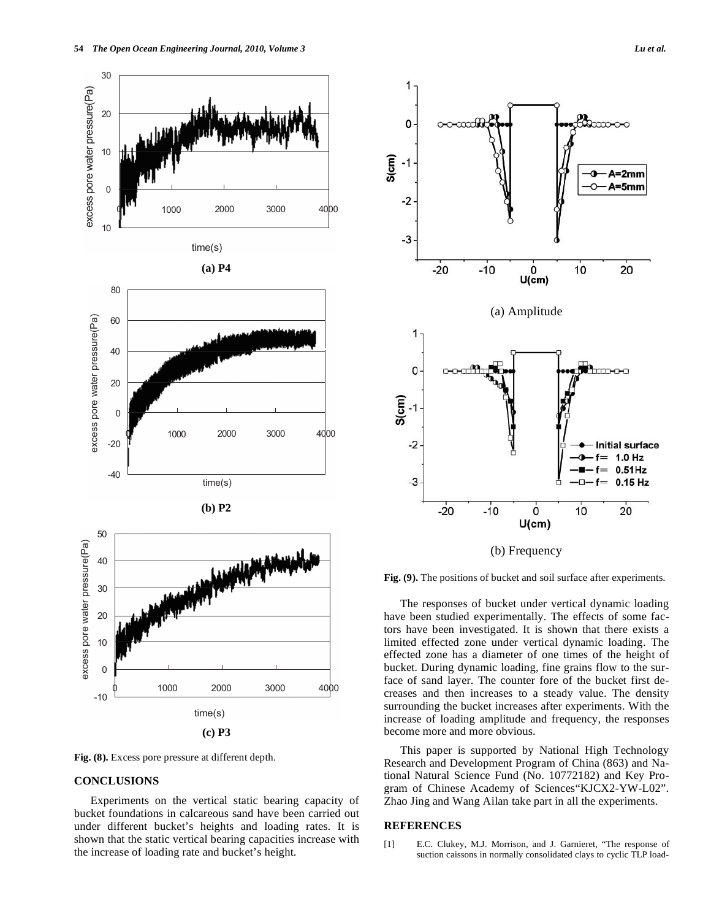

#### **CONCLUSIONS**

Experiments on the vertical static bearing capacity of bucket foundations in calcareous sand have been carried out under different bucket's heights and loading rates. It is shown that the static vertical bearing capacities increase with the increase of loading rate and bucket's height.



**Fig. (9).** The positions of bucket and soil surface after experiments.

The responses of bucket under vertical dynamic loading have been studied experimentally. The effects of some factors have been investigated. It is shown that there exists a limited effected zone under vertical dynamic loading. The effected zone has a diameter of one times of the height of bucket. During dynamic loading, fine grains flow to the surface of sand layer. The counter fore of the bucket first decreases and then increases to a steady value. The density surrounding the bucket increases after experiments. With the increase of loading amplitude and frequency, the responses become more and more obvious.

This paper is supported by National High Technology Research and Development Program of China (863) and National Natural Science Fund (No. 10772182) and Key Program of Chinese Academy of Sciences"KJCX2-YW-L02". Zhao Jing and Wang Ailan take part in all the experiments.

#### **REFERENCES**

[1] E.C. Clukey, M.J. Morrison, and J. Garnieret, "The response of suction caissons in normally consolidated clays to cyclic TLP load